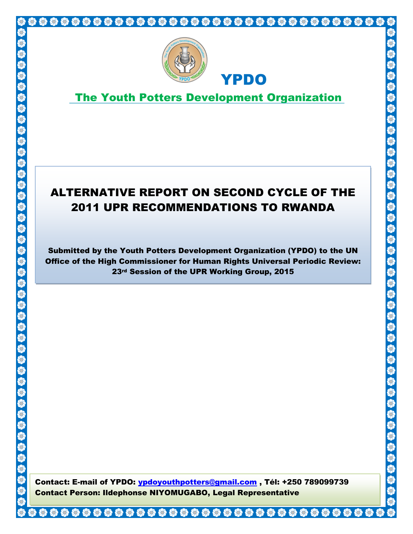

S

S S

SS SS SS

S

S

# The Youth Potters Development Organization

YPDO

# ALTERNATIVE REPORT ON SECOND CYCLE OF THE 2011 UPR RECOMMENDATIONS TO RWANDA

Submitted by the Youth Potters Development Organization (YPDO) to the UN Office of the High Commissioner for Human Rights Universal Periodic Review: 23<sup>rd</sup> Session of the UPR Working Group, 2015

**1 | Page** Contact Person: Ildephonse NIYOMUGABO, Legal RepresentativeContact: E-mail of YPDO: ypdoyouthpotters@gmail.com, Tél: +250 789099739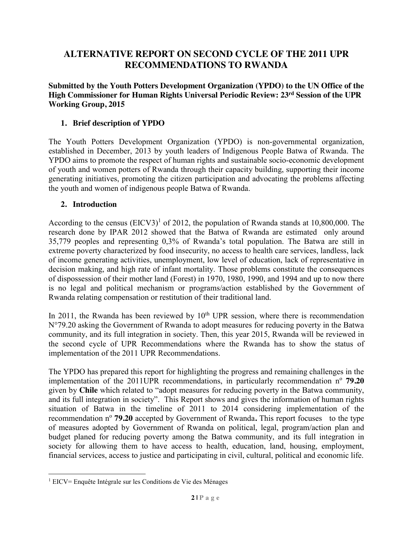# **ALTERNATIVE REPORT ON SECOND CYCLE OF THE 2011 UPR RECOMMENDATIONS TO RWANDA**

**Submitted by the Youth Potters Development Organization (YPDO) to the UN Office of the High Commissioner for Human Rights Universal Periodic Review: 23rd Session of the UPR Working Group, 2015**

#### **1. Brief description of YPDO**

The Youth Potters Development Organization (YPDO) is non-governmental organization, established in December, 2013 by youth leaders of Indigenous People Batwa of Rwanda. The YPDO aims to promote the respect of human rights and sustainable socio-economic development of youth and women potters of Rwanda through their capacity building, supporting their income generating initiatives, promoting the citizen participation and advocating the problems affecting the youth and women of indigenous people Batwa of Rwanda.

#### **2. Introduction**

According to the census  $(EICV3)^1$  of 2012, the population of Rwanda stands at 10,800,000. The research done by IPAR 2012 showed that the Batwa of Rwanda are estimated only around 35,779 peoples and representing 0,3% of Rwanda's total population. The Batwa are still in extreme poverty characterized by food insecurity, no access to health care services, landless, lack of income generating activities, unemployment, low level of education, lack of representative in decision making, and high rate of infant mortality. Those problems constitute the consequences of dispossession of their mother land (Forest) in 1970, 1980, 1990, and 1994 and up to now there is no legal and political mechanism or programs/action established by the Government of Rwanda relating compensation or restitution of their traditional land.

In 2011, the Rwanda has been reviewed by  $10<sup>th</sup>$  UPR session, where there is recommendation N°79.20 asking the Government of Rwanda to adopt measures for reducing poverty in the Batwa community, and its full integration in society. Then, this year 2015, Rwanda will be reviewed in the second cycle of UPR Recommendations where the Rwanda has to show the status of implementation of the 2011 UPR Recommendations.

The YPDO has prepared this report for highlighting the progress and remaining challenges in the implementation of the 2011UPR recommendations, in particularly recommendation n<sup>o</sup> 79.20 given by **Chile** which related to "adopt measures for reducing poverty in the Batwa community, and its full integration in society". This Report shows and gives the information of human rights situation of Batwa in the timeline of 2011 to 2014 considering implementation of the recommendation n<sup>o</sup> **79.20** accepted by Government of Rwanda. This report focuses to the type of measures adopted by Government of Rwanda on political, legal, program/action plan and budget planed for reducing poverty among the Batwa community, and its full integration in society for allowing them to have access to health, education, land, housing, employment, financial services, access to justice and participating in civil, cultural, political and economic life.

 $\overline{\phantom{a}}$ <sup>1</sup> EICV= Enquête Intégrale sur les Conditions de Vie des Ménages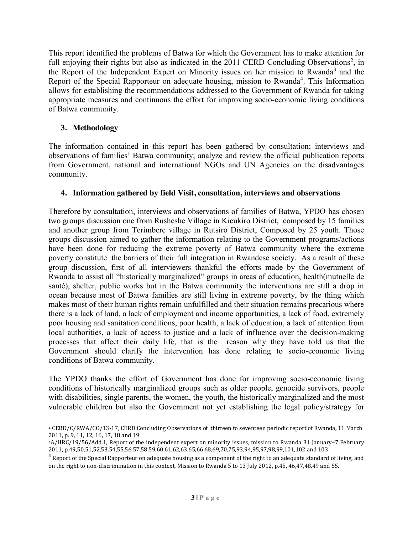This report identified the problems of Batwa for which the Government has to make attention for full enjoying their rights but also as indicated in the 2011 CERD Concluding Observations<sup>2</sup>, in the Report of the Independent Expert on Minority issues on her mission to Rwanda<sup>3</sup> and the Report of the Special Rapporteur on adequate housing, mission to Rwanda<sup>4</sup>. This Information allows for establishing the recommendations addressed to the Government of Rwanda for taking appropriate measures and continuous the effort for improving socio-economic living conditions of Batwa community.

### **3. Methodology**

The information contained in this report has been gathered by consultation; interviews and observations of families' Batwa community; analyze and review the official publication reports from Government, national and international NGOs and UN Agencies on the disadvantages community.

#### **4. Information gathered by field Visit, consultation, interviews and observations**

Therefore by consultation, interviews and observations of families of Batwa, YPDO has chosen two groups discussion one from Rusheshe Village in Kicukiro District, composed by 15 families and another group from Terimbere village in Rutsiro District, Composed by 25 youth. Those groups discussion aimed to gather the information relating to the Government programs/actions have been done for reducing the extreme poverty of Batwa community where the extreme poverty constitute the barriers of their full integration in Rwandese society. As a result of these group discussion, first of all interviewers thankful the efforts made by the Government of Rwanda to assist all "historically marginalized" groups in areas of education, health(mutuelle de santé), shelter, public works but in the Batwa community the interventions are still a drop in ocean because most of Batwa families are still living in extreme poverty, by the thing which makes most of their human rights remain unfulfilled and their situation remains precarious where there is a lack of land, a lack of employment and income opportunities, a lack of food, extremely poor housing and sanitation conditions, poor health, a lack of education, a lack of attention from local authorities, a lack of access to justice and a lack of influence over the decision-making processes that affect their daily life, that is the reason why they have told us that the Government should clarify the intervention has done relating to socio-economic living conditions of Batwa community.

The YPDO thanks the effort of Government has done for improving socio-economic living conditions of historically marginalized groups such as older people, genocide survivors, people with disabilities, single parents, the women, the youth, the historically marginalized and the most vulnerable children but also the Government not yet establishing the legal policy/strategy for

 $\overline{\phantom{a}}$ <sup>2</sup> CERD/C/RWA/CO/13-17, CERD Concluding Observations of thirteen to seventeen periodic report of Rwanda, 11 March 2011, p. 9, 11, 12, 16, 17, 18 and 19

<sup>3</sup>A/HRC/19/56/Add.1, Report of the independent expert on minority issues, mission to Rwanda 31 January–7 February 2011, p.49,50,51,52,53,54,55,56,57,58,59,60,61,62,63,65,66,68,69,70,75,93,94,95,97,98,99,101,102 and 103.

 $4$  Report of the Special Rapporteur on adequate housing as a component of the right to an adequate standard of living, and on the right to non-discrimination in this context, Mission to Rwanda 5 to 13 July 2012, p.45, 46,47,48,49 and 55.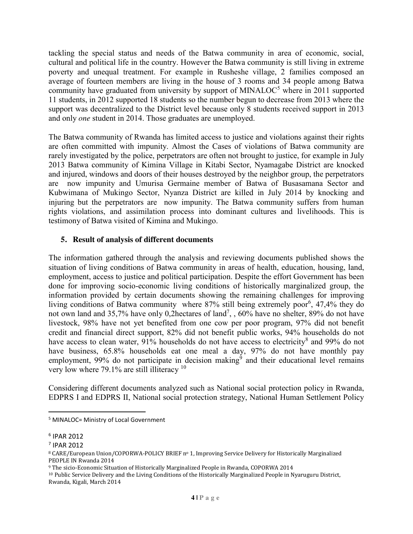tackling the special status and needs of the Batwa community in area of economic, social, cultural and political life in the country. However the Batwa community is still living in extreme poverty and unequal treatment. For example in Rusheshe village, 2 families composed an average of fourteen members are living in the house of 3 rooms and 34 people among Batwa community have graduated from university by support of MINALOC<sup>5</sup> where in 2011 supported 11 students, in 2012 supported 18 students so the number begun to decrease from 2013 where the support was decentralized to the District level because only 8 students received support in 2013 and only *one* student in 2014. Those graduates are unemployed.

The Batwa community of Rwanda has limited access to justice and violations against their rights are often committed with impunity. Almost the Cases of violations of Batwa community are rarely investigated by the police, perpetrators are often not brought to justice, for example in July 2013 Batwa community of Kimina Village in Kitabi Sector, Nyamagabe District are knocked and injured, windows and doors of their houses destroyed by the neighbor group, the perpetrators are now impunity and Umurisa Germaine member of Batwa of Busasamana Sector and Kubwimana of Mukingo Sector, Nyanza District are killed in July 2014 by knocking and injuring but the perpetrators are now impunity. The Batwa community suffers from human rights violations, and assimilation process into dominant cultures and livelihoods. This is testimony of Batwa visited of Kimina and Mukingo.

#### **5. Result of analysis of different documents**

The information gathered through the analysis and reviewing documents published shows the situation of living conditions of Batwa community in areas of health, education, housing, land, employment, access to justice and political participation. Despite the effort Government has been done for improving socio-economic living conditions of historically marginalized group, the information provided by certain documents showing the remaining challenges for improving living conditions of Batwa community where 87% still being extremely poor<sup>6</sup>, 47,4% they do not own land and 35,7% have only 0,2hectares of land<sup>7</sup>, , 60% have no shelter, 89% do not have livestock, 98% have not yet benefited from one cow per poor program, 97% did not benefit credit and financial direct support, 82% did not benefit public works, 94% households do not have access to clean water, 91% households do not have access to electricity<sup>8</sup> and 99% do not have business, 65.8% households eat one meal a day, 97% do not have monthly pay employment,  $99\%$  do not participate in decision making<sup>9</sup> and their educational level remains very low where  $79.1\%$  are still illiteracy  $10$ 

Considering different documents analyzed such as National social protection policy in Rwanda, EDPRS I and EDPRS II, National social protection strategy, National Human Settlement Policy

 <sup>5</sup> MINALOC= Ministry of Local Government

<sup>6</sup> IPAR 2012

<sup>7</sup> IPAR 2012

<sup>8</sup> CARE/European Union/COPORWA-POLICY BRIEF nº 1, Improving Service Delivery for Historically Marginalized PEOPLE IN Rwanda 2014

<sup>9</sup> The sicio-Economic Situation of Historically Marginalized People in Rwanda, COPORWA 2014

<sup>10</sup> Public Service Delivery and the Living Conditions of the Historically Marginalized People in Nyaruguru District, Rwanda, Kigali, March 2014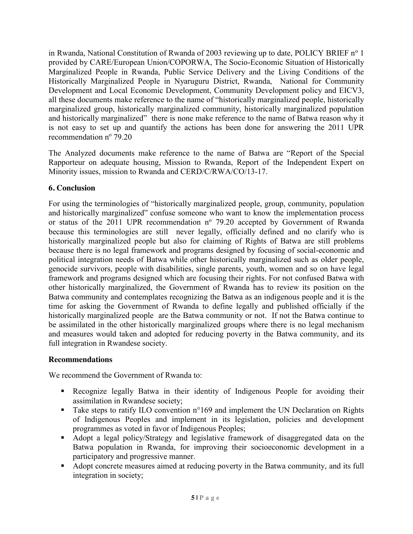in Rwanda, National Constitution of Rwanda of 2003 reviewing up to date, POLICY BRIEF  $n^{\circ}$  1 provided by CARE/European Union/COPORWA, The Socio-Economic Situation of Historically Marginalized People in Rwanda, Public Service Delivery and the Living Conditions of the Historically Marginalized People in Nyaruguru District, Rwanda, National for Community Development and Local Economic Development, Community Development policy and EICV3, all these documents make reference to the name of "historically marginalized people, historically marginalized group, historically marginalized community, historically marginalized population and historically marginalized" there is none make reference to the name of Batwa reason why it is not easy to set up and quantify the actions has been done for answering the 2011 UPR recommendation  $n^{\circ}$  79.20

The Analyzed documents make reference to the name of Batwa are "Report of the Special Rapporteur on adequate housing, Mission to Rwanda, Report of the Independent Expert on Minority issues, mission to Rwanda and CERD/C/RWA/CO/13-17.

## **6. Conclusion**

For using the terminologies of "historically marginalized people, group, community, population and historically marginalized" confuse someone who want to know the implementation process or status of the 2011 UPR recommendation  $n^{\circ}$  79.20 accepted by Government of Rwanda because this terminologies are still never legally, officially defined and no clarify who is historically marginalized people but also for claiming of Rights of Batwa are still problems because there is no legal framework and programs designed by focusing of social-economic and political integration needs of Batwa while other historically marginalized such as older people, genocide survivors, people with disabilities, single parents, youth, women and so on have legal framework and programs designed which are focusing their rights. For not confused Batwa with other historically marginalized, the Government of Rwanda has to review its position on the Batwa community and contemplates recognizing the Batwa as an indigenous people and it is the time for asking the Government of Rwanda to define legally and published officially if the historically marginalized people are the Batwa community or not. If not the Batwa continue to be assimilated in the other historically marginalized groups where there is no legal mechanism and measures would taken and adopted for reducing poverty in the Batwa community, and its full integration in Rwandese society.

## **Recommendations**

We recommend the Government of Rwanda to:

- Recognize legally Batwa in their identity of Indigenous People for avoiding their assimilation in Rwandese society;
- Take steps to ratify ILO convention n°169 and implement the UN Declaration on Rights of Indigenous Peoples and implement in its legislation, policies and development programmes as voted in favor of Indigenous Peoples;
- Adopt a legal policy/Strategy and legislative framework of disaggregated data on the Batwa population in Rwanda, for improving their socioeconomic development in a participatory and progressive manner.
- Adopt concrete measures aimed at reducing poverty in the Batwa community, and its full integration in society;